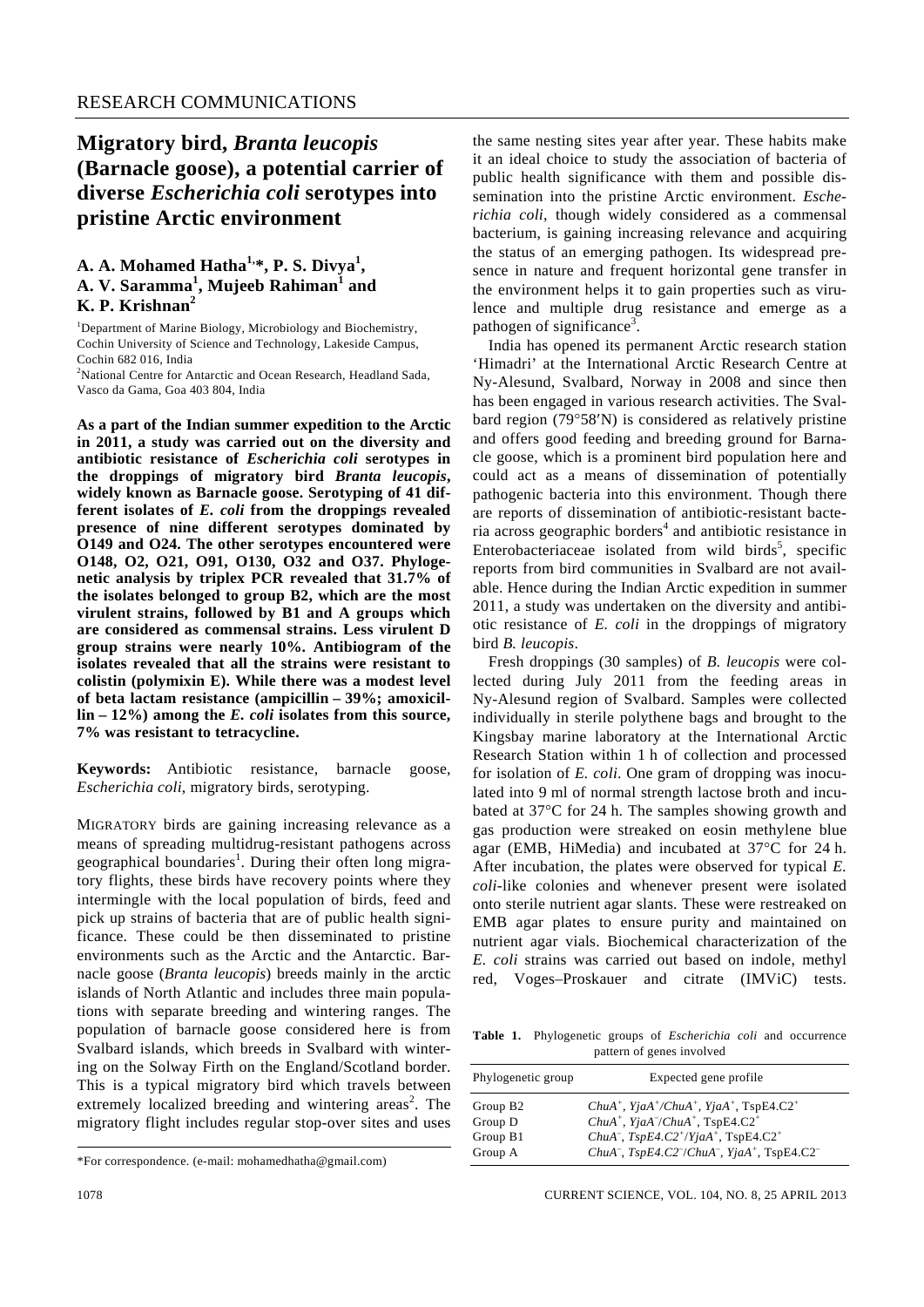## **Migratory bird,** *Branta leucopis* **(Barnacle goose), a potential carrier of diverse** *Escherichia coli* **serotypes into pristine Arctic environment**

## **A. A. Mohamed Hatha1,\*, P. S. Divya1 , A. V. Saramma<sup>1</sup> , Mujeeb Rahiman<sup>1</sup> and K. P. Krishnan<sup>2</sup>**

<sup>1</sup>Department of Marine Biology, Microbiology and Biochemistry, Cochin University of Science and Technology, Lakeside Campus, Cochin 682 016, India

<sup>2</sup>National Centre for Antarctic and Ocean Research, Headland Sada, Vasco da Gama, Goa 403 804, India

**As a part of the Indian summer expedition to the Arctic in 2011, a study was carried out on the diversity and antibiotic resistance of** *Escherichia coli* **serotypes in the droppings of migratory bird** *Branta leucopis***, widely known as Barnacle goose. Serotyping of 41 different isolates of** *E. coli* **from the droppings revealed presence of nine different serotypes dominated by O149 and O24. The other serotypes encountered were O148, O2, O21, O91, O130, O32 and O37. Phylogenetic analysis by triplex PCR revealed that 31.7% of the isolates belonged to group B2, which are the most virulent strains, followed by B1 and A groups which are considered as commensal strains. Less virulent D group strains were nearly 10%. Antibiogram of the isolates revealed that all the strains were resistant to colistin (polymixin E). While there was a modest level of beta lactam resistance (ampicillin – 39%; amoxicillin – 12%) among the** *E. coli* **isolates from this source, 7% was resistant to tetracycline.** 

**Keywords:** Antibiotic resistance, barnacle goose, *Escherichia coli*, migratory birds, serotyping.

MIGRATORY birds are gaining increasing relevance as a means of spreading multidrug-resistant pathogens across geographical boundaries<sup>1</sup>. During their often long migratory flights, these birds have recovery points where they intermingle with the local population of birds, feed and pick up strains of bacteria that are of public health significance. These could be then disseminated to pristine environments such as the Arctic and the Antarctic. Barnacle goose (*Branta leucopis*) breeds mainly in the arctic islands of North Atlantic and includes three main populations with separate breeding and wintering ranges. The population of barnacle goose considered here is from Svalbard islands, which breeds in Svalbard with wintering on the Solway Firth on the England/Scotland border. This is a typical migratory bird which travels between extremely localized breeding and wintering areas<sup>2</sup>. The migratory flight includes regular stop-over sites and uses

the same nesting sites year after year. These habits make it an ideal choice to study the association of bacteria of public health significance with them and possible dissemination into the pristine Arctic environment. *Escherichia coli*, though widely considered as a commensal bacterium, is gaining increasing relevance and acquiring the status of an emerging pathogen. Its widespread presence in nature and frequent horizontal gene transfer in the environment helps it to gain properties such as virulence and multiple drug resistance and emerge as a pathogen of significance<sup>3</sup>.

 India has opened its permanent Arctic research station 'Himadri' at the International Arctic Research Centre at Ny-Alesund, Svalbard, Norway in 2008 and since then has been engaged in various research activities. The Svalbard region (79°58′N) is considered as relatively pristine and offers good feeding and breeding ground for Barnacle goose, which is a prominent bird population here and could act as a means of dissemination of potentially pathogenic bacteria into this environment. Though there are reports of dissemination of antibiotic-resistant bacteria across geographic borders<sup>4</sup> and antibiotic resistance in Enterobacteriaceae isolated from wild birds<sup>5</sup>, specific reports from bird communities in Svalbard are not available. Hence during the Indian Arctic expedition in summer 2011, a study was undertaken on the diversity and antibiotic resistance of *E. coli* in the droppings of migratory bird *B. leucopis*.

 Fresh droppings (30 samples) of *B. leucopis* were collected during July 2011 from the feeding areas in Ny-Alesund region of Svalbard. Samples were collected individually in sterile polythene bags and brought to the Kingsbay marine laboratory at the International Arctic Research Station within 1 h of collection and processed for isolation of *E. coli*. One gram of dropping was inoculated into 9 ml of normal strength lactose broth and incubated at 37°C for 24 h. The samples showing growth and gas production were streaked on eosin methylene blue agar (EMB, HiMedia) and incubated at 37°C for 24 h. After incubation, the plates were observed for typical *E. coli*-like colonies and whenever present were isolated onto sterile nutrient agar slants. These were restreaked on EMB agar plates to ensure purity and maintained on nutrient agar vials. Biochemical characterization of the *E. coli* strains was carried out based on indole, methyl red, Voges–Proskauer and citrate (IMViC) tests.

**Table 1.** Phylogenetic groups of *Escherichia coli* and occurrence pattern of genes involved

| Phylogenetic group   | Expected gene profile                                                                                    |  |
|----------------------|----------------------------------------------------------------------------------------------------------|--|
| Group B <sub>2</sub> | ChuA <sup>+</sup> , YjaA <sup>+</sup> /ChuA <sup>+</sup> , YjaA <sup>+</sup> , TspE4.C2 <sup>+</sup>     |  |
| Group D              | Chu $A^+$ , Yja $A^-/ChuA^+$ , TspE4.C2 <sup>+</sup>                                                     |  |
| Group B1             | ChuA <sup>-</sup> , TspE4.C2 <sup>+</sup> /YjaA <sup>+</sup> , TspE4.C2 <sup>+</sup>                     |  |
| Group A              | ChuA <sup>-</sup> , TspE4.C2 <sup>-</sup> /ChuA <sup>-</sup> , YjaA <sup>+</sup> , TspE4.C2 <sup>-</sup> |  |

<sup>\*</sup>For correspondence. (e-mail: mohamedhatha@gmail.com)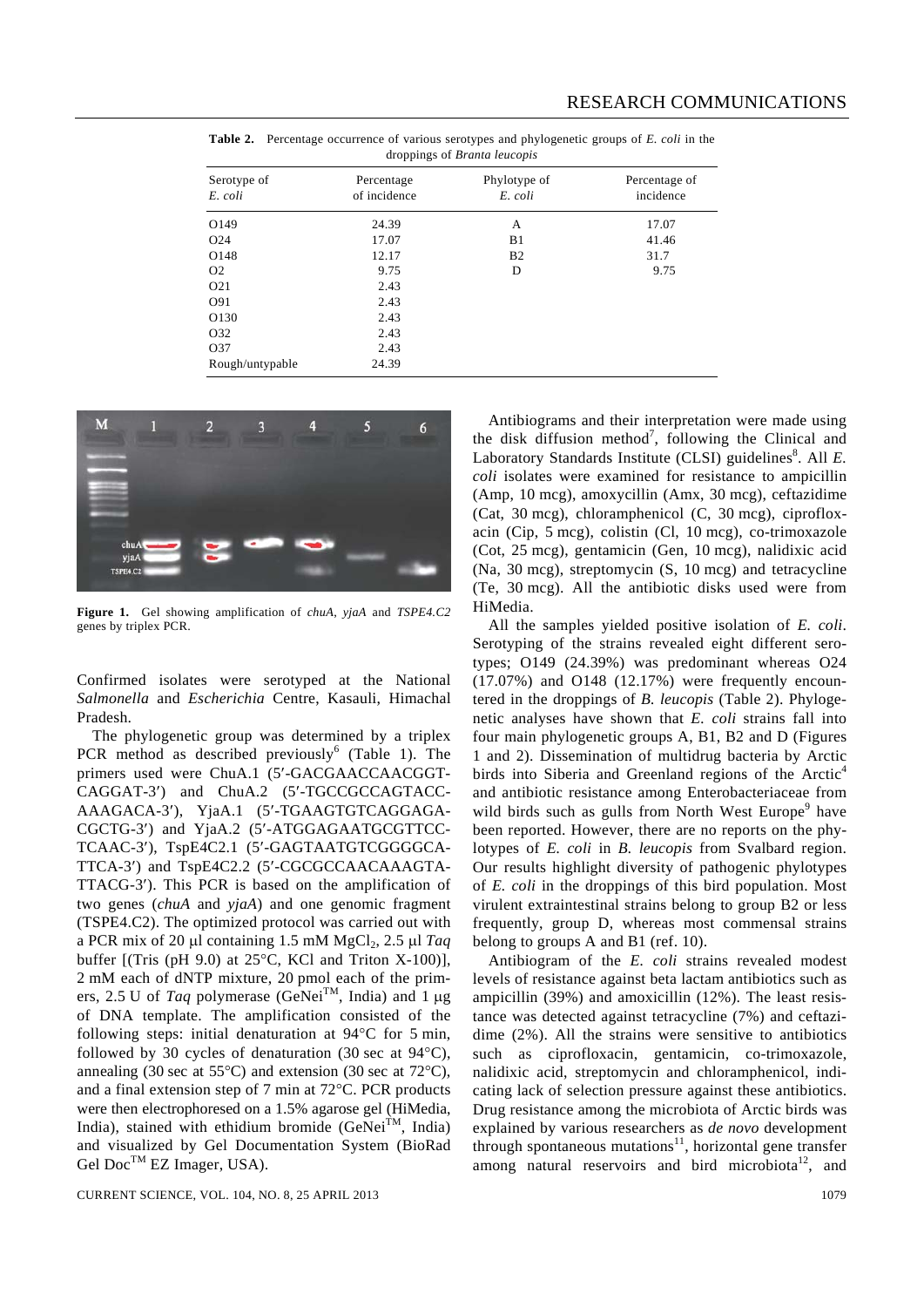| Serotype of<br>E. coli | Percentage<br>of incidence | Phylotype of<br>E. coli | Percentage of<br>incidence |
|------------------------|----------------------------|-------------------------|----------------------------|
| O149                   | 24.39                      | A                       | 17.07                      |
| O <sub>24</sub>        | 17.07                      | B1                      | 41.46                      |
| O148                   | 12.17                      | B <sub>2</sub>          | 31.7                       |
| O <sub>2</sub>         | 9.75                       | D                       | 9.75                       |
| O <sub>21</sub>        | 2.43                       |                         |                            |
| O91                    | 2.43                       |                         |                            |
| O130                   | 2.43                       |                         |                            |
| O32                    | 2.43                       |                         |                            |
| O37                    | 2.43                       |                         |                            |
| Rough/untypable        | 24.39                      |                         |                            |

**Table 2.** Percentage occurrence of various serotypes and phylogenetic groups of *E. coli* in the droppings of *Branta leucopis*



**Figure 1.** Gel showing amplification of *chuA*, *yjaA* and *TSPE4.C2* genes by triplex PCR.

Confirmed isolates were serotyped at the National *Salmonella* and *Escherichia* Centre, Kasauli, Himachal Pradesh.

 The phylogenetic group was determined by a triplex PCR method as described previously<sup>6</sup> (Table 1). The primers used were ChuA.1 (5′-GACGAACCAACGGT-CAGGAT-3′) and ChuA.2 (5′-TGCCGCCAGTACC-AAAGACA-3′), YjaA.1 (5′-TGAAGTGTCAGGAGA-CGCTG-3′) and YjaA.2 (5′-ATGGAGAATGCGTTCC-TCAAC-3′), TspE4C2.1 (5′-GAGTAATGTCGGGGCA-TTCA-3′) and TspE4C2.2 (5′-CGCGCCAACAAAGTA-TTACG-3′). This PCR is based on the amplification of two genes (*chuA* and *yjaA*) and one genomic fragment (TSPE4.C2). The optimized protocol was carried out with a PCR mix of 20 μl containing 1.5 mM MgCl<sub>2</sub>, 2.5 μl *Taq* buffer  $[(This (pH 9.0) at 25°C, KCl and Triton X-100)],$ 2 mM each of dNTP mixture, 20 pmol each of the primers, 2.5 U of *Taq* polymerase (GeNeiTM, India) and 1 μg of DNA template. The amplification consisted of the following steps: initial denaturation at 94°C for 5 min, followed by 30 cycles of denaturation (30 sec at 94°C), annealing (30 sec at  $55^{\circ}$ C) and extension (30 sec at  $72^{\circ}$ C), and a final extension step of 7 min at 72°C. PCR products were then electrophoresed on a 1.5% agarose gel (HiMedia, India), stained with ethidium bromide (GeNei<sup>TM</sup>, India) and visualized by Gel Documentation System (BioRad Gel Doc<sup>TM</sup> EZ Imager, USA).

CURRENT SCIENCE, VOL. 104, NO. 8, 25 APRIL 2013 1079

 Antibiograms and their interpretation were made using the disk diffusion method<sup>7</sup>, following the Clinical and Laboratory Standards Institute (CLSI) guidelines<sup>8</sup>. All *E*. *coli* isolates were examined for resistance to ampicillin (Amp, 10 mcg), amoxycillin (Amx, 30 mcg), ceftazidime (Cat, 30 mcg), chloramphenicol (C, 30 mcg), ciprofloxacin (Cip, 5 mcg), colistin (Cl, 10 mcg), co-trimoxazole (Cot, 25 mcg), gentamicin (Gen, 10 mcg), nalidixic acid (Na, 30 mcg), streptomycin (S, 10 mcg) and tetracycline (Te, 30 mcg). All the antibiotic disks used were from HiMedia.

 All the samples yielded positive isolation of *E. coli*. Serotyping of the strains revealed eight different serotypes; O149 (24.39%) was predominant whereas O24  $(17.07%)$  and O148  $(12.17%)$  were frequently encountered in the droppings of *B. leucopis* (Table 2). Phylogenetic analyses have shown that *E. coli* strains fall into four main phylogenetic groups A, B1, B2 and D (Figures 1 and 2). Dissemination of multidrug bacteria by Arctic birds into Siberia and Greenland regions of the Arctic<sup>4</sup> and antibiotic resistance among Enterobacteriaceae from wild birds such as gulls from North West Europe<sup>9</sup> have been reported. However, there are no reports on the phylotypes of *E. coli* in *B. leucopis* from Svalbard region. Our results highlight diversity of pathogenic phylotypes of *E. coli* in the droppings of this bird population. Most virulent extraintestinal strains belong to group B2 or less frequently, group D, whereas most commensal strains belong to groups A and B1 (ref. 10).

 Antibiogram of the *E. coli* strains revealed modest levels of resistance against beta lactam antibiotics such as ampicillin (39%) and amoxicillin (12%). The least resistance was detected against tetracycline (7%) and ceftazidime (2%). All the strains were sensitive to antibiotics such as ciprofloxacin, gentamicin, co-trimoxazole, nalidixic acid, streptomycin and chloramphenicol, indicating lack of selection pressure against these antibiotics. Drug resistance among the microbiota of Arctic birds was explained by various researchers as *de novo* development through spontaneous mutations<sup>11</sup>, horizontal gene transfer among natural reservoirs and bird microbiota<sup>12</sup>, and